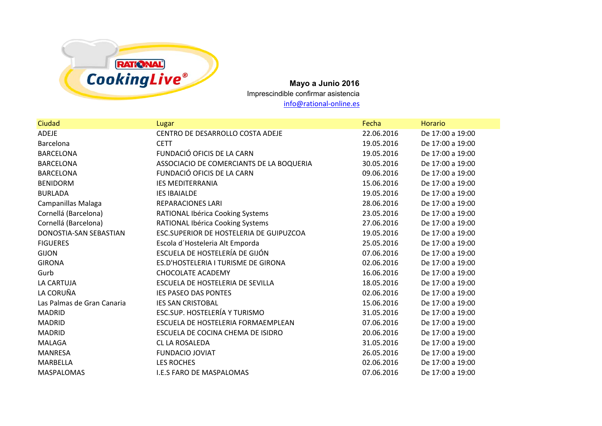

**Mayo a Junio 2016** Imprescindible confirmar asistencia info@rational-online.es

| Ciudad                     | Lugar                                    | Fecha      | <b>Horario</b>   |
|----------------------------|------------------------------------------|------------|------------------|
| <b>ADEJE</b>               | CENTRO DE DESARROLLO COSTA ADEJE         | 22.06.2016 | De 17:00 a 19:00 |
| Barcelona                  | <b>CETT</b>                              | 19.05.2016 | De 17:00 a 19:00 |
| <b>BARCELONA</b>           | FUNDACIÓ OFICIS DE LA CARN               | 19.05.2016 | De 17:00 a 19:00 |
| <b>BARCELONA</b>           | ASSOCIACIO DE COMERCIANTS DE LA BOQUERIA | 30.05.2016 | De 17:00 a 19:00 |
| <b>BARCELONA</b>           | FUNDACIÓ OFICIS DE LA CARN               | 09.06.2016 | De 17:00 a 19:00 |
| <b>BENIDORM</b>            | <b>IES MEDITERRANIA</b>                  | 15.06.2016 | De 17:00 a 19:00 |
| <b>BURLADA</b>             | <b>IES IBAIALDE</b>                      | 19.05.2016 | De 17:00 a 19:00 |
| Campanillas Malaga         | <b>REPARACIONES LARI</b>                 | 28.06.2016 | De 17:00 a 19:00 |
| Cornellá (Barcelona)       | RATIONAL Ibérica Cooking Systems         | 23.05.2016 | De 17:00 a 19:00 |
| Cornellá (Barcelona)       | RATIONAL Ibérica Cooking Systems         | 27.06.2016 | De 17:00 a 19:00 |
| DONOSTIA-SAN SEBASTIAN     | ESC.SUPERIOR DE HOSTELERIA DE GUIPUZCOA  | 19.05.2016 | De 17:00 a 19:00 |
| <b>FIGUERES</b>            | Escola d'Hosteleria Alt Emporda          | 25.05.2016 | De 17:00 a 19:00 |
| <b>GIJON</b>               | ESCUELA DE HOSTELERÍA DE GIJÓN           | 07.06.2016 | De 17:00 a 19:00 |
| <b>GIRONA</b>              | ES.D'HOSTELERIA I TURISME DE GIRONA      | 02.06.2016 | De 17:00 a 19:00 |
| Gurb                       | <b>CHOCOLATE ACADEMY</b>                 | 16.06.2016 | De 17:00 a 19:00 |
| LA CARTUJA                 | ESCUELA DE HOSTELERIA DE SEVILLA         | 18.05.2016 | De 17:00 a 19:00 |
| LA CORUÑA                  | <b>IES PASEO DAS PONTES</b>              | 02.06.2016 | De 17:00 a 19:00 |
| Las Palmas de Gran Canaria | <b>IES SAN CRISTOBAL</b>                 | 15.06.2016 | De 17:00 a 19:00 |
| <b>MADRID</b>              | ESC.SUP. HOSTELERÍA Y TURISMO            | 31.05.2016 | De 17:00 a 19:00 |
| <b>MADRID</b>              | ESCUELA DE HOSTELERIA FORMAEMPLEAN       | 07.06.2016 | De 17:00 a 19:00 |
| <b>MADRID</b>              | ESCUELA DE COCINA CHEMA DE ISIDRO        | 20.06.2016 | De 17:00 a 19:00 |
| <b>MALAGA</b>              | CL LA ROSALEDA                           | 31.05.2016 | De 17:00 a 19:00 |
| <b>MANRESA</b>             | <b>FUNDACIO JOVIAT</b>                   | 26.05.2016 | De 17:00 a 19:00 |
| MARBELLA                   | <b>LES ROCHES</b>                        | 02.06.2016 | De 17:00 a 19:00 |
| <b>MASPALOMAS</b>          | <b>I.E.S FARO DE MASPALOMAS</b>          | 07.06.2016 | De 17:00 a 19:00 |